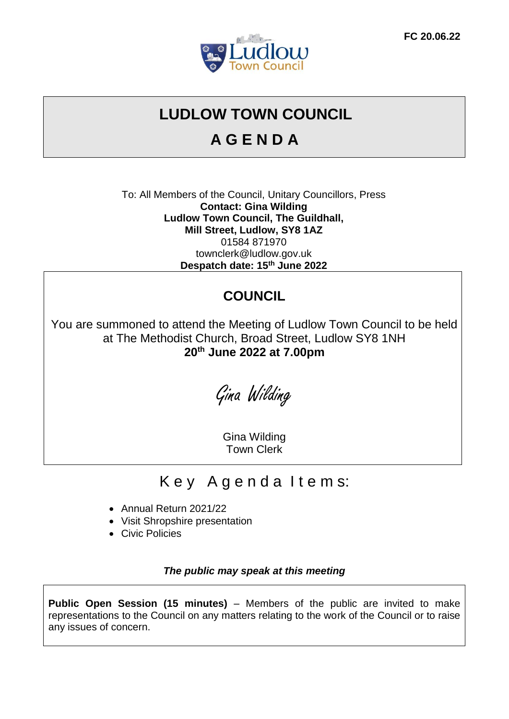

# **LUDLOW TOWN COUNCIL**

# **A G E N D A**

To: All Members of the Council, Unitary Councillors, Press **Contact: Gina Wilding Ludlow Town Council, The Guildhall, Mill Street, Ludlow, SY8 1AZ** 01584 871970 townclerk@ludlow.gov.uk **Despatch date: 15th June 2022**

# **COUNCIL**

You are summoned to attend the Meeting of Ludlow Town Council to be held at The Methodist Church, Broad Street, Ludlow SY8 1NH **20th June 2022 at 7.00pm**

Gina Wilding

Gina Wilding Town Clerk

# Key Agenda Items:

- Annual Return 2021/22
- Visit Shropshire presentation
- Civic Policies

*The public may speak at this meeting* 

**Public Open Session (15 minutes)** – Members of the public are invited to make representations to the Council on any matters relating to the work of the Council or to raise any issues of concern.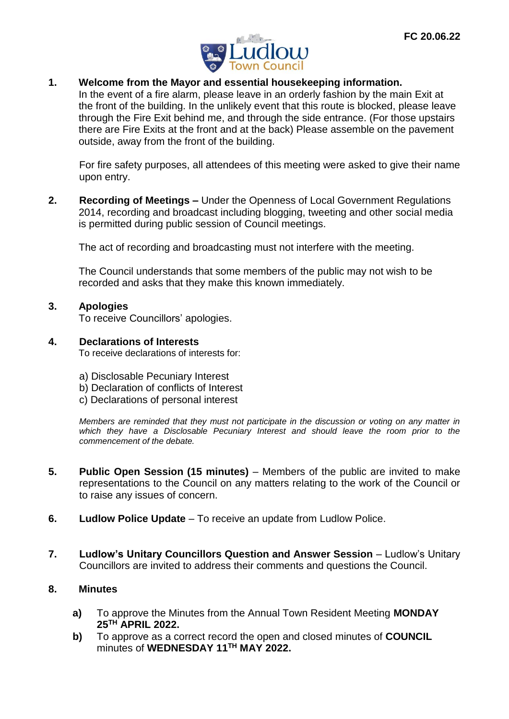

### **1. Welcome from the Mayor and essential housekeeping information.**

In the event of a fire alarm, please leave in an orderly fashion by the main Exit at the front of the building. In the unlikely event that this route is blocked, please leave through the Fire Exit behind me, and through the side entrance. (For those upstairs there are Fire Exits at the front and at the back) Please assemble on the pavement outside, away from the front of the building.

For fire safety purposes, all attendees of this meeting were asked to give their name upon entry.

**2. Recording of Meetings –** Under the Openness of Local Government Regulations 2014, recording and broadcast including blogging, tweeting and other social media is permitted during public session of Council meetings.

The act of recording and broadcasting must not interfere with the meeting.

The Council understands that some members of the public may not wish to be recorded and asks that they make this known immediately.

### **3. Apologies**

To receive Councillors' apologies.

#### **4. Declarations of Interests**

To receive declarations of interests for:

- a) Disclosable Pecuniary Interest
- b) Declaration of conflicts of Interest
- c) Declarations of personal interest

*Members are reminded that they must not participate in the discussion or voting on any matter in which they have a Disclosable Pecuniary Interest and should leave the room prior to the commencement of the debate.*

- **5. Public Open Session (15 minutes)** Members of the public are invited to make representations to the Council on any matters relating to the work of the Council or to raise any issues of concern.
- **6. Ludlow Police Update** To receive an update from Ludlow Police.
- **7.** Ludlow's Unitary Councillors Question and Answer Session Ludlow's Unitary Councillors are invited to address their comments and questions the Council.

#### **8. Minutes**

- **a)** To approve the Minutes from the Annual Town Resident Meeting **MONDAY 25TH APRIL 2022.**
- **b)** To approve as a correct record the open and closed minutes of **COUNCIL** minutes of **WEDNESDAY 11TH MAY 2022.**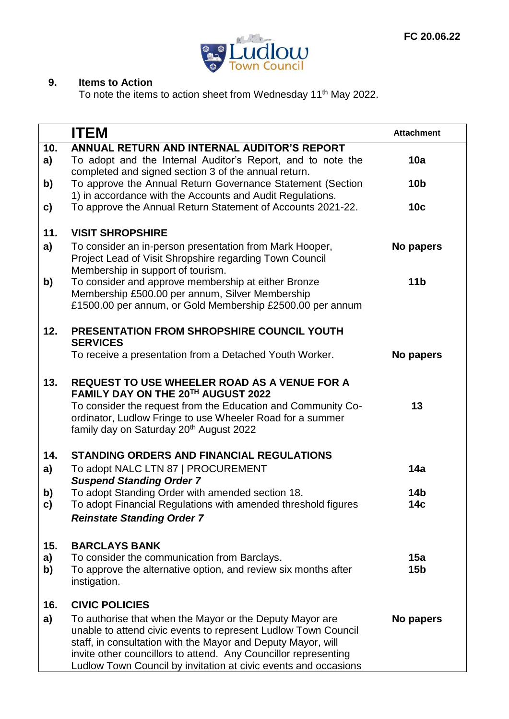

## **9. Items to Action**

To note the items to action sheet from Wednesday 11<sup>th</sup> May 2022.

|     | <b>ITEM</b>                                                                                                                                                                                                                                                                                                                      | <b>Attachment</b> |
|-----|----------------------------------------------------------------------------------------------------------------------------------------------------------------------------------------------------------------------------------------------------------------------------------------------------------------------------------|-------------------|
| 10. | ANNUAL RETURN AND INTERNAL AUDITOR'S REPORT                                                                                                                                                                                                                                                                                      |                   |
| a)  | To adopt and the Internal Auditor's Report, and to note the<br>completed and signed section 3 of the annual return.                                                                                                                                                                                                              | 10a               |
| b)  | To approve the Annual Return Governance Statement (Section                                                                                                                                                                                                                                                                       | 10 <sub>b</sub>   |
| c)  | 1) in accordance with the Accounts and Audit Regulations.<br>To approve the Annual Return Statement of Accounts 2021-22.                                                                                                                                                                                                         | 10 <sub>c</sub>   |
| 11. | <b>VISIT SHROPSHIRE</b>                                                                                                                                                                                                                                                                                                          |                   |
| a)  | To consider an in-person presentation from Mark Hooper,<br>Project Lead of Visit Shropshire regarding Town Council<br>Membership in support of tourism.                                                                                                                                                                          | No papers         |
| b)  | To consider and approve membership at either Bronze<br>Membership £500.00 per annum, Silver Membership<br>£1500.00 per annum, or Gold Membership £2500.00 per annum                                                                                                                                                              | 11 <sub>b</sub>   |
| 12. | PRESENTATION FROM SHROPSHIRE COUNCIL YOUTH<br><b>SERVICES</b>                                                                                                                                                                                                                                                                    |                   |
|     | To receive a presentation from a Detached Youth Worker.                                                                                                                                                                                                                                                                          | No papers         |
| 13. | <b>REQUEST TO USE WHEELER ROAD AS A VENUE FOR A</b><br>FAMILY DAY ON THE 20TH AUGUST 2022                                                                                                                                                                                                                                        |                   |
|     | To consider the request from the Education and Community Co-<br>ordinator, Ludlow Fringe to use Wheeler Road for a summer<br>family day on Saturday 20 <sup>th</sup> August 2022                                                                                                                                                 | 13                |
| 14. | <b>STANDING ORDERS AND FINANCIAL REGULATIONS</b>                                                                                                                                                                                                                                                                                 |                   |
| a)  | To adopt NALC LTN 87   PROCUREMENT                                                                                                                                                                                                                                                                                               | 14a               |
| b)  | <b>Suspend Standing Order 7</b><br>To adopt Standing Order with amended section 18.                                                                                                                                                                                                                                              | 14b               |
| C)  | To adopt Financial Regulations with amended threshold figures<br><b>Reinstate Standing Order 7</b>                                                                                                                                                                                                                               | 14с               |
|     |                                                                                                                                                                                                                                                                                                                                  |                   |
| 15. | <b>BARCLAYS BANK</b>                                                                                                                                                                                                                                                                                                             |                   |
| a)  | To consider the communication from Barclays.                                                                                                                                                                                                                                                                                     | 15a               |
| b)  | To approve the alternative option, and review six months after<br>instigation.                                                                                                                                                                                                                                                   | 15 <sub>b</sub>   |
| 16. | <b>CIVIC POLICIES</b>                                                                                                                                                                                                                                                                                                            |                   |
| a)  | To authorise that when the Mayor or the Deputy Mayor are<br>unable to attend civic events to represent Ludlow Town Council<br>staff, in consultation with the Mayor and Deputy Mayor, will<br>invite other councillors to attend. Any Councillor representing<br>Ludlow Town Council by invitation at civic events and occasions | No papers         |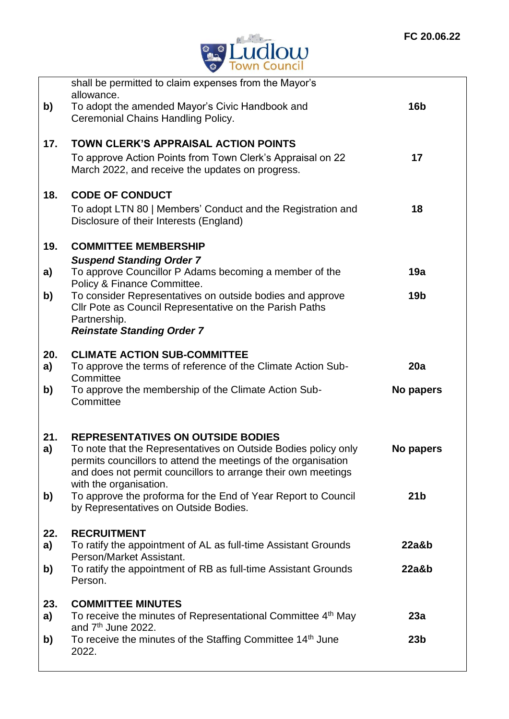

|     | shall be permitted to claim expenses from the Mayor's<br>allowance.                                                                                                                               |                 |
|-----|---------------------------------------------------------------------------------------------------------------------------------------------------------------------------------------------------|-----------------|
| b)  | To adopt the amended Mayor's Civic Handbook and<br>Ceremonial Chains Handling Policy.                                                                                                             | <b>16b</b>      |
| 17. | TOWN CLERK'S APPRAISAL ACTION POINTS                                                                                                                                                              |                 |
|     | To approve Action Points from Town Clerk's Appraisal on 22<br>March 2022, and receive the updates on progress.                                                                                    | 17              |
| 18. | <b>CODE OF CONDUCT</b>                                                                                                                                                                            |                 |
|     | To adopt LTN 80   Members' Conduct and the Registration and<br>Disclosure of their Interests (England)                                                                                            | 18              |
| 19. | <b>COMMITTEE MEMBERSHIP</b>                                                                                                                                                                       |                 |
| a)  | <b>Suspend Standing Order 7</b><br>To approve Councillor P Adams becoming a member of the                                                                                                         | 19a             |
| b)  | Policy & Finance Committee.<br>To consider Representatives on outside bodies and approve                                                                                                          | 19 <sub>b</sub> |
|     | Cllr Pote as Council Representative on the Parish Paths<br>Partnership.                                                                                                                           |                 |
|     | <b>Reinstate Standing Order 7</b>                                                                                                                                                                 |                 |
| 20. | <b>CLIMATE ACTION SUB-COMMITTEE</b>                                                                                                                                                               |                 |
| a)  | To approve the terms of reference of the Climate Action Sub-<br>Committee                                                                                                                         | 20a             |
| b)  | To approve the membership of the Climate Action Sub-<br>Committee                                                                                                                                 | No papers       |
| 21. | <b>REPRESENTATIVES ON OUTSIDE BODIES</b>                                                                                                                                                          |                 |
| a)  | To note that the Representatives on Outside Bodies policy only<br>permits councillors to attend the meetings of the organisation<br>and does not permit councillors to arrange their own meetings | No papers       |
| b)  | with the organisation.<br>To approve the proforma for the End of Year Report to Council                                                                                                           | 21 <sub>b</sub> |
|     | by Representatives on Outside Bodies.                                                                                                                                                             |                 |
| 22. | <b>RECRUITMENT</b>                                                                                                                                                                                |                 |
| a)  | To ratify the appointment of AL as full-time Assistant Grounds<br>Person/Market Assistant.                                                                                                        | 22a&b           |
| b)  | To ratify the appointment of RB as full-time Assistant Grounds<br>Person.                                                                                                                         | 22a&b           |
| 23. | <b>COMMITTEE MINUTES</b>                                                                                                                                                                          |                 |
| a)  | To receive the minutes of Representational Committee 4th May<br>and $7th$ June 2022.                                                                                                              | 23a             |
| b)  | To receive the minutes of the Staffing Committee 14 <sup>th</sup> June<br>2022.                                                                                                                   | 23 <sub>b</sub> |